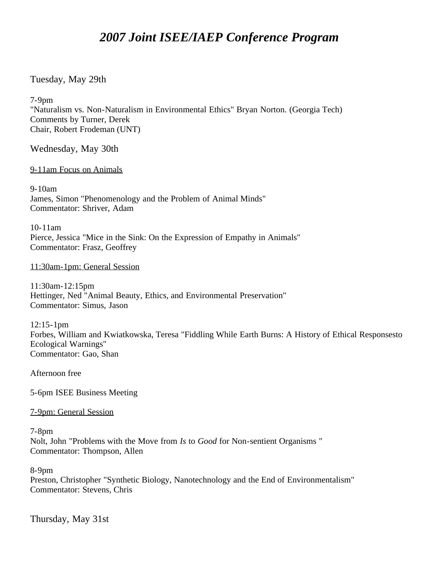# *2007 Joint ISEE/IAEP Conference Program*

### Tuesday, May 29th

7-9pm

"Naturalism vs. Non-Naturalism in Environmental Ethics" Bryan Norton. (Georgia Tech) Comments by Turner, Derek Chair, Robert Frodeman (UNT)

Wednesday, May 30th

9-11am Focus on Animals

9-10am James, Simon "Phenomenology and the Problem of Animal Minds" Commentator: Shriver, Adam

10-11am Pierce, Jessica "Mice in the Sink: On the Expression of Empathy in Animals" Commentator: Frasz, Geoffrey

#### 11:30am-1pm: General Session

11:30am-12:15pm Hettinger, Ned "Animal Beauty, Ethics, and Environmental Preservation" Commentator: Simus, Jason

12:15-1pm Forbes, William and Kwiatkowska, Teresa "Fiddling While Earth Burns: A History of Ethical Responsesto Ecological Warnings" Commentator: Gao, Shan

Afternoon free

5-6pm ISEE Business Meeting

7-9pm: General Session

7-8pm Nolt, John "Problems with the Move from *Is* to *Good* for Non-sentient Organisms " Commentator: Thompson, Allen

8-9pm

Preston, Christopher "Synthetic Biology, Nanotechnology and the End of Environmentalism" Commentator: Stevens, Chris

Thursday, May 31st